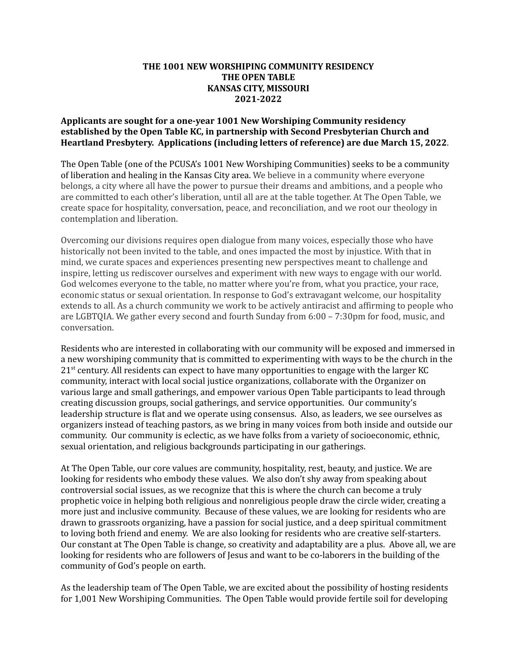## **THE 1001 NEW WORSHIPING COMMUNITY RESIDENCY THE OPEN TABLE KANSAS CITY, MISSOURI 2021-2022**

## **Applicants are sought for a one-year 1001 New Worshiping Community residency established by the Open Table KC, in partnership with Second Presbyterian Church and Heartland Presbytery. Applications (including letters of reference) are due March 15, 2022**.

The Open Table (one of the PCUSA's 1001 New Worshiping Communities) seeks to be a community of liberation and healing in the Kansas City area. We believe in a community where everyone belongs, a city where all have the power to pursue their dreams and ambitions, and a people who are committed to each other's liberation, until all are at the table together. At The Open Table, we create space for hospitality, conversation, peace, and reconciliation, and we root our theology in contemplation and liberation.

Overcoming our divisions requires open dialogue from many voices, especially those who have historically not been invited to the table, and ones impacted the most by injustice. With that in mind, we curate spaces and experiences presenting new perspectives meant to challenge and inspire, letting us rediscover ourselves and experiment with new ways to engage with our world. God welcomes everyone to the table, no matter where you're from, what you practice, your race, economic status or sexual orientation. In response to God's extravagant welcome, our hospitality extends to all. As a church community we work to be actively antiracist and affirming to people who are LGBTQIA. We gather every second and fourth Sunday from 6:00 – 7:30pm for food, music, and conversation.

Residents who are interested in collaborating with our community will be exposed and immersed in a new worshiping community that is committed to experimenting with ways to be the church in the 21<sup>st</sup> century. All residents can expect to have many opportunities to engage with the larger KC community, interact with local social justice organizations, collaborate with the Organizer on various large and small gatherings, and empower various Open Table participants to lead through creating discussion groups, social gatherings, and service opportunities. Our community's leadership structure is flat and we operate using consensus. Also, as leaders, we see ourselves as organizers instead of teaching pastors, as we bring in many voices from both inside and outside our community. Our community is eclectic, as we have folks from a variety of socioeconomic, ethnic, sexual orientation, and religious backgrounds participating in our gatherings.

At The Open Table, our core values are community, hospitality, rest, beauty, and justice. We are looking for residents who embody these values. We also don't shy away from speaking about controversial social issues, as we recognize that this is where the church can become a truly prophetic voice in helping both religious and nonreligious people draw the circle wider, creating a more just and inclusive community. Because of these values, we are looking for residents who are drawn to grassroots organizing, have a passion for social justice, and a deep spiritual commitment to loving both friend and enemy. We are also looking for residents who are creative self-starters. Our constant at The Open Table is change, so creativity and adaptability are a plus. Above all, we are looking for residents who are followers of Jesus and want to be co-laborers in the building of the community of God's people on earth.

As the leadership team of The Open Table, we are excited about the possibility of hosting residents for 1,001 New Worshiping Communities. The Open Table would provide fertile soil for developing